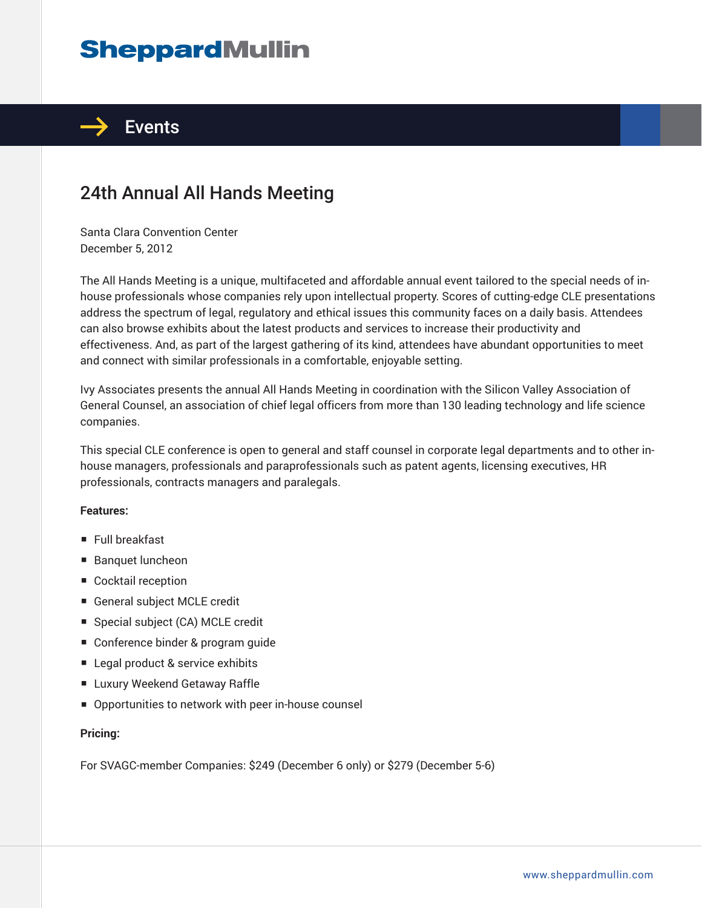# **SheppardMullin**



# 24th Annual All Hands Meeting

Santa Clara Convention Center December 5, 2012

The All Hands Meeting is a unique, multifaceted and affordable annual event tailored to the special needs of inhouse professionals whose companies rely upon intellectual property. Scores of cutting-edge CLE presentations address the spectrum of legal, regulatory and ethical issues this community faces on a daily basis. Attendees can also browse exhibits about the latest products and services to increase their productivity and effectiveness. And, as part of the largest gathering of its kind, attendees have abundant opportunities to meet and connect with similar professionals in a comfortable, enjoyable setting.

Ivy Associates presents the annual All Hands Meeting in coordination with the Silicon Valley Association of General Counsel, an association of chief legal officers from more than 130 leading technology and life science companies.

This special CLE conference is open to general and staff counsel in corporate legal departments and to other inhouse managers, professionals and paraprofessionals such as patent agents, licensing executives, HR professionals, contracts managers and paralegals.

#### **Features:**

- Full breakfast
- Banquet luncheon
- Cocktail reception
- General subject MCLE credit
- Special subject (CA) MCLE credit
- Conference binder & program quide
- Legal product & service exhibits
- Luxury Weekend Getaway Raffle
- Opportunities to network with peer in-house counsel

#### **Pricing:**

For SVAGC-member Companies: \$249 (December 6 only) or \$279 (December 5-6)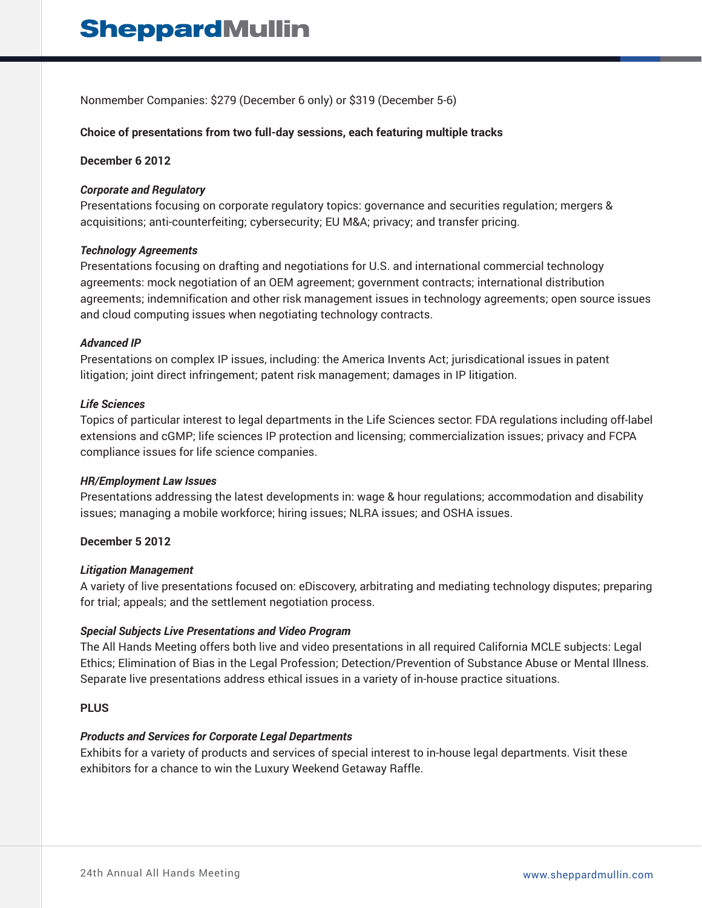Nonmember Companies: \$279 (December 6 only) or \$319 (December 5-6)

## **Choice of presentations from two full-day sessions, each featuring multiple tracks**

#### **December 6 2012**

#### *Corporate and Regulatory*

Presentations focusing on corporate regulatory topics: governance and securities regulation; mergers & acquisitions; anti-counterfeiting; cybersecurity; EU M&A; privacy; and transfer pricing.

#### *Technology Agreements*

Presentations focusing on drafting and negotiations for U.S. and international commercial technology agreements: mock negotiation of an OEM agreement; government contracts; international distribution agreements; indemnification and other risk management issues in technology agreements; open source issues and cloud computing issues when negotiating technology contracts.

#### *Advanced IP*

Presentations on complex IP issues, including: the America Invents Act; jurisdicational issues in patent litigation; joint direct infringement; patent risk management; damages in IP litigation.

#### *Life Sciences*

Topics of particular interest to legal departments in the Life Sciences sector: FDA regulations including off-label extensions and cGMP; life sciences IP protection and licensing; commercialization issues; privacy and FCPA compliance issues for life science companies.

#### *HR/Employment Law Issues*

Presentations addressing the latest developments in: wage & hour regulations; accommodation and disability issues; managing a mobile workforce; hiring issues; NLRA issues; and OSHA issues.

#### **December 5 2012**

#### *Litigation Management*

A variety of live presentations focused on: eDiscovery, arbitrating and mediating technology disputes; preparing for trial; appeals; and the settlement negotiation process.

#### *Special Subjects Live Presentations and Video Program*

The All Hands Meeting offers both live and video presentations in all required California MCLE subjects: Legal Ethics; Elimination of Bias in the Legal Profession; Detection/Prevention of Substance Abuse or Mental Illness. Separate live presentations address ethical issues in a variety of in-house practice situations.

# **PLUS**

#### *Products and Services for Corporate Legal Departments*

Exhibits for a variety of products and services of special interest to in-house legal departments. Visit these exhibitors for a chance to win the Luxury Weekend Getaway Raffle.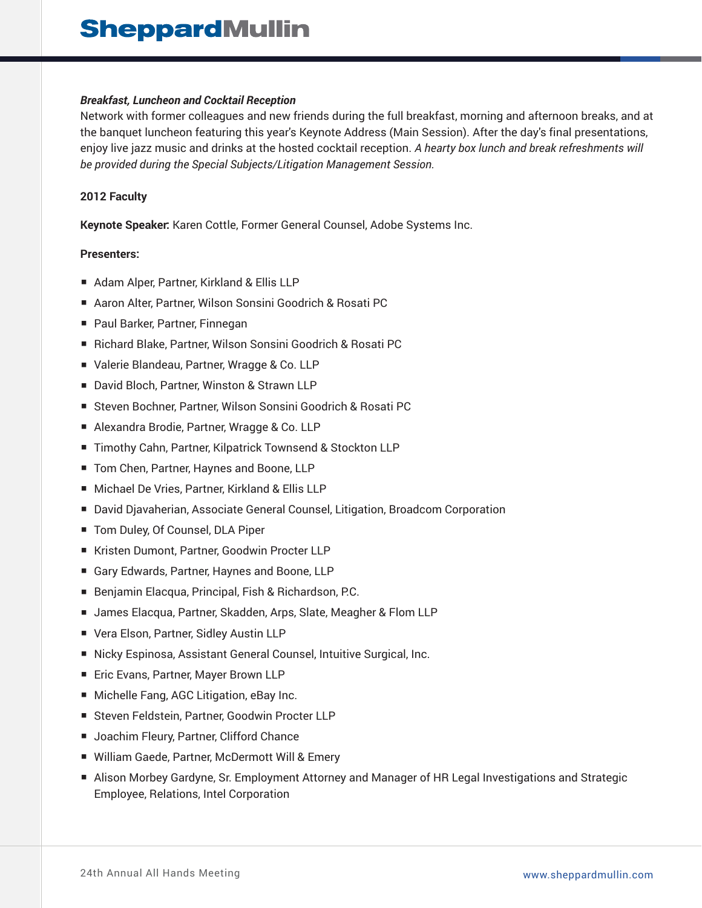## *Breakfast, Luncheon and Cocktail Reception*

Network with former colleagues and new friends during the full breakfast, morning and afternoon breaks, and at the banquet luncheon featuring this year's Keynote Address (Main Session). After the day's final presentations, enjoy live jazz music and drinks at the hosted cocktail reception. *A hearty box lunch and break refreshments will be provided during the Special Subjects/Litigation Management Session.*

## **2012 Faculty**

**Keynote Speaker:** Karen Cottle, Former General Counsel, Adobe Systems Inc.

## **Presenters:**

- Adam Alper, Partner, Kirkland & Ellis LLP
- Aaron Alter, Partner, Wilson Sonsini Goodrich & Rosati PC
- Paul Barker, Partner, Finnegan
- Richard Blake, Partner, Wilson Sonsini Goodrich & Rosati PC
- Valerie Blandeau, Partner, Wragge & Co. LLP
- David Bloch, Partner, Winston & Strawn LLP
- Steven Bochner, Partner, Wilson Sonsini Goodrich & Rosati PC
- Alexandra Brodie, Partner, Wragge & Co. LLP
- Timothy Cahn, Partner, Kilpatrick Townsend & Stockton LLP
- Tom Chen, Partner, Haynes and Boone, LLP
- Michael De Vries, Partner, Kirkland & Ellis LLP
- David Djavaherian, Associate General Counsel, Litigation, Broadcom Corporation
- Tom Duley, Of Counsel, DLA Piper
- Kristen Dumont, Partner, Goodwin Procter LLP
- Gary Edwards, Partner, Haynes and Boone, LLP
- Benjamin Elacqua, Principal, Fish & Richardson, P.C.
- James Elacqua, Partner, Skadden, Arps, Slate, Meagher & Flom LLP
- Vera Elson, Partner, Sidley Austin LLP
- Nicky Espinosa, Assistant General Counsel, Intuitive Surgical, Inc.
- Eric Evans, Partner, Mayer Brown LLP
- Michelle Fang, AGC Litigation, eBay Inc.
- Steven Feldstein, Partner, Goodwin Procter LLP
- Joachim Fleury, Partner, Clifford Chance
- William Gaede, Partner, McDermott Will & Emery
- Alison Morbey Gardyne, Sr. Employment Attorney and Manager of HR Legal Investigations and Strategic Employee, Relations, Intel Corporation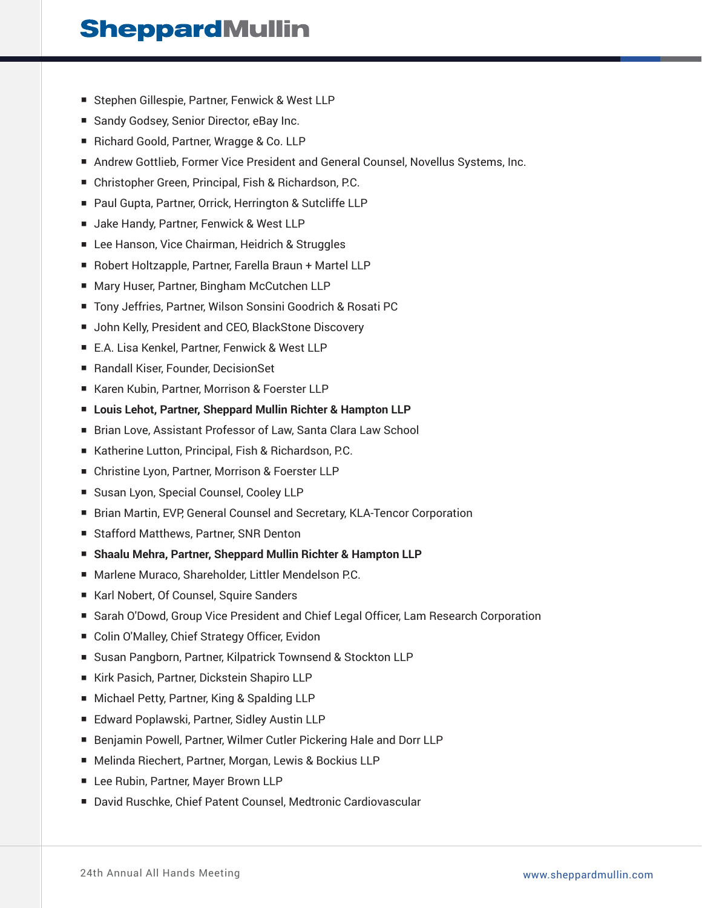# **SheppardMullin**

- Stephen Gillespie, Partner, Fenwick & West LLP
- Sandy Godsey, Senior Director, eBay Inc.
- Richard Goold, Partner, Wragge & Co. LLP
- Andrew Gottlieb, Former Vice President and General Counsel, Novellus Systems, Inc.
- Christopher Green, Principal, Fish & Richardson, P.C.
- Paul Gupta, Partner, Orrick, Herrington & Sutcliffe LLP
- Jake Handy, Partner, Fenwick & West LLP
- Lee Hanson, Vice Chairman, Heidrich & Struggles
- Robert Holtzapple, Partner, Farella Braun + Martel LLP
- Mary Huser, Partner, Bingham McCutchen LLP
- Tony Jeffries, Partner, Wilson Sonsini Goodrich & Rosati PC
- John Kelly, President and CEO, BlackStone Discovery
- E.A. Lisa Kenkel, Partner, Fenwick & West LLP
- Randall Kiser, Founder, DecisionSet
- Karen Kubin, Partner, Morrison & Foerster LLP
- **Louis Lehot, Partner, Sheppard Mullin Richter & Hampton LLP**
- Brian Love, Assistant Professor of Law, Santa Clara Law School
- Katherine Lutton, Principal, Fish & Richardson, P.C.
- Christine Lyon, Partner, Morrison & Foerster LLP
- Susan Lyon, Special Counsel, Cooley LLP
- Brian Martin, EVP, General Counsel and Secretary, KLA-Tencor Corporation
- Stafford Matthews, Partner, SNR Denton
- **Shaalu Mehra, Partner, Sheppard Mullin Richter & Hampton LLP**
- Marlene Muraco, Shareholder, Littler Mendelson P.C.
- Karl Nobert, Of Counsel, Squire Sanders
- Sarah O'Dowd, Group Vice President and Chief Legal Officer, Lam Research Corporation
- Colin O'Malley, Chief Strategy Officer, Evidon
- Susan Pangborn, Partner, Kilpatrick Townsend & Stockton LLP
- Kirk Pasich, Partner, Dickstein Shapiro LLP
- Michael Petty, Partner, King & Spalding LLP
- Edward Poplawski, Partner, Sidley Austin LLP
- Benjamin Powell, Partner, Wilmer Cutler Pickering Hale and Dorr LLP
- Melinda Riechert, Partner, Morgan, Lewis & Bockius LLP
- Lee Rubin, Partner, Mayer Brown LLP
- David Ruschke, Chief Patent Counsel, Medtronic Cardiovascular